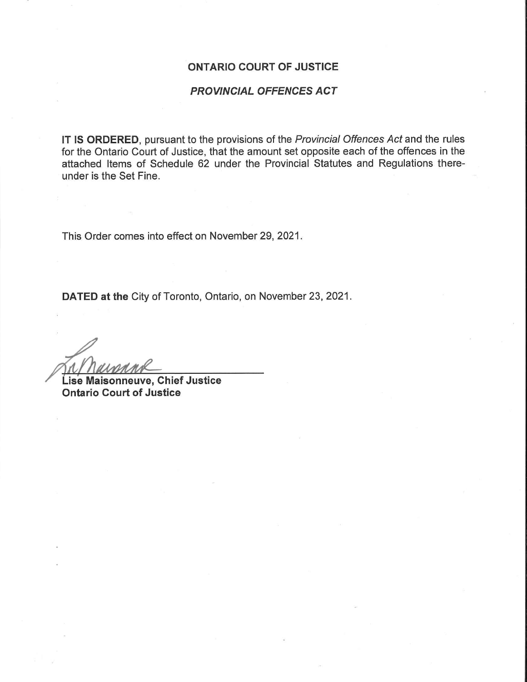#### ONTARIO COURT OF JUSTICE

### PROVINCIAL OFFENCES ACT

IT IS ORDERED, pursuant to the provisions of the Provincial Offences Act and the rules for the Ontario Court of Justice, that the amount set opposite each of the offences in the attached Items of Schedule 62 under the Provincial Statutes and Regulations thereunder is the Set Fine.

This Order comes into effect on November 29, 2021.

DATED at the City of Toronto, Ontario, on November 23, 2021

M/ naissank

 Ontario Court of JusticeLise Maisonneuve, Chief Justice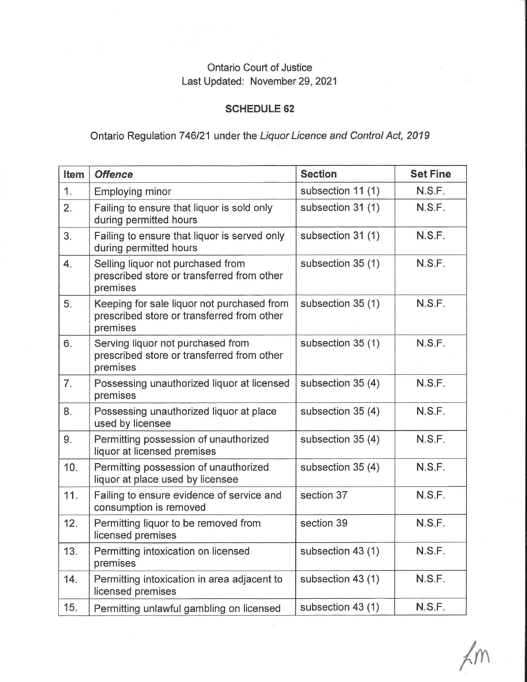## Ontario Court of JusticeLast Updated: November 29, 2021

### SCHEDULE 62

# Ontario Regulation 746/21 under the Liquor Licence and Control Act, 2019

| Item | <b>Offence</b>                                                                                       | <b>Section</b>    | <b>Set Fine</b> |
|------|------------------------------------------------------------------------------------------------------|-------------------|-----------------|
| 1.   | Employing minor                                                                                      | subsection 11 (1) | N.S.F.          |
| 2.   | Failing to ensure that liquor is sold only<br>during permitted hours                                 | subsection 31 (1) | N.S.F.          |
| 3.   | Failing to ensure that liquor is served only<br>during permitted hours                               | subsection 31 (1) | N.S.F.          |
| 4.   | Selling liquor not purchased from<br>prescribed store or transferred from other<br>premises          | subsection 35 (1) | N.S.F.          |
| 5.   | Keeping for sale liquor not purchased from<br>prescribed store or transferred from other<br>premises | subsection 35 (1) | N.S.F.          |
| 6.   | Serving liquor not purchased from<br>prescribed store or transferred from other<br>premises          | subsection 35 (1) | N.S.F.          |
| 7.   | Possessing unauthorized liquor at licensed<br>premises                                               | subsection 35 (4) | N.S.F.          |
| 8.   | Possessing unauthorized liquor at place<br>used by licensee                                          | subsection 35 (4) | N.S.F.          |
| 9.   | Permitting possession of unauthorized<br>liquor at licensed premises                                 | subsection 35 (4) | N.S.F.          |
| 10.  | Permitting possession of unauthorized<br>liquor at place used by licensee                            | subsection 35 (4) | N.S.F.          |
| 11.  | Failing to ensure evidence of service and<br>consumption is removed                                  | section 37        | N.S.F.          |
| 12.  | Permitting liquor to be removed from<br>licensed premises                                            | section 39        | N.S.F.          |
| 13.  | Permitting intoxication on licensed<br>premises                                                      | subsection 43 (1) | N.S.F.          |
| 14.  | Permitting intoxication in area adjacent to<br>licensed premises                                     | subsection 43 (1) | N.S.F.          |
| 15.  | Permitting unlawful gambling on licensed                                                             | subsection 43 (1) | N.S.F.          |

 $\vec{e}$ 

 $\hat{y}$